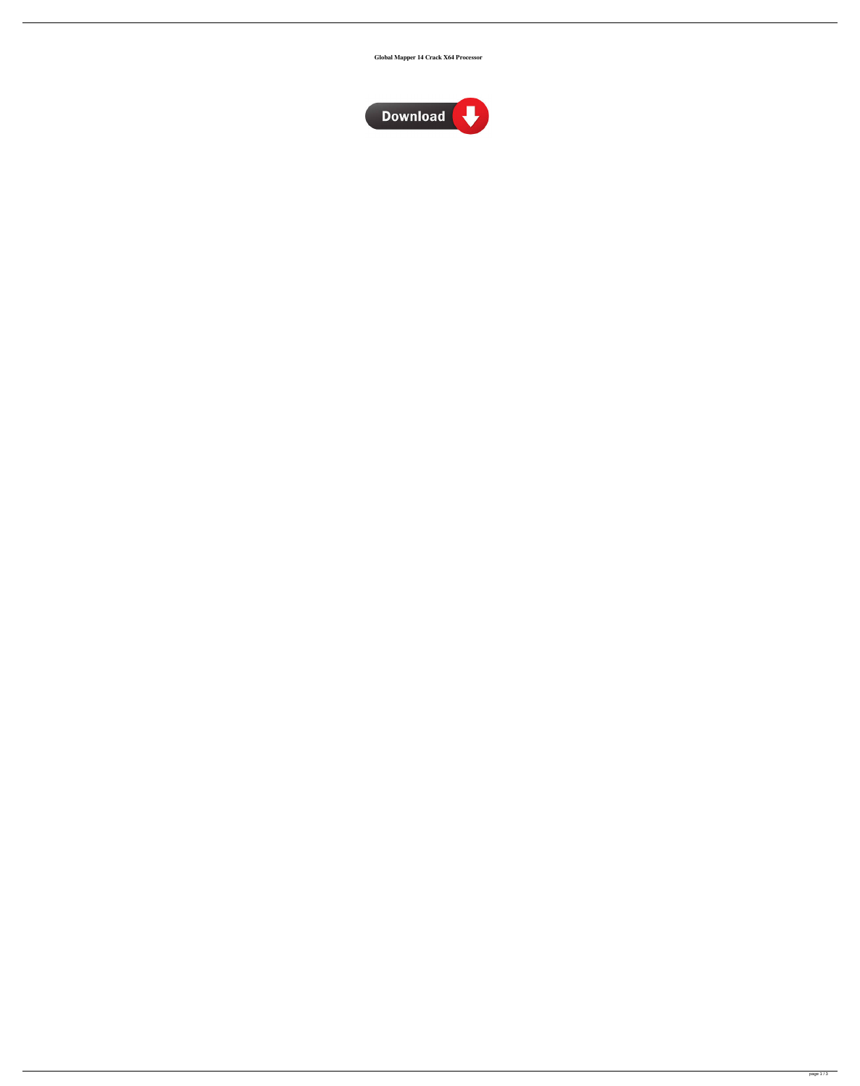**Global Mapper 14 Crack X64 Processor**

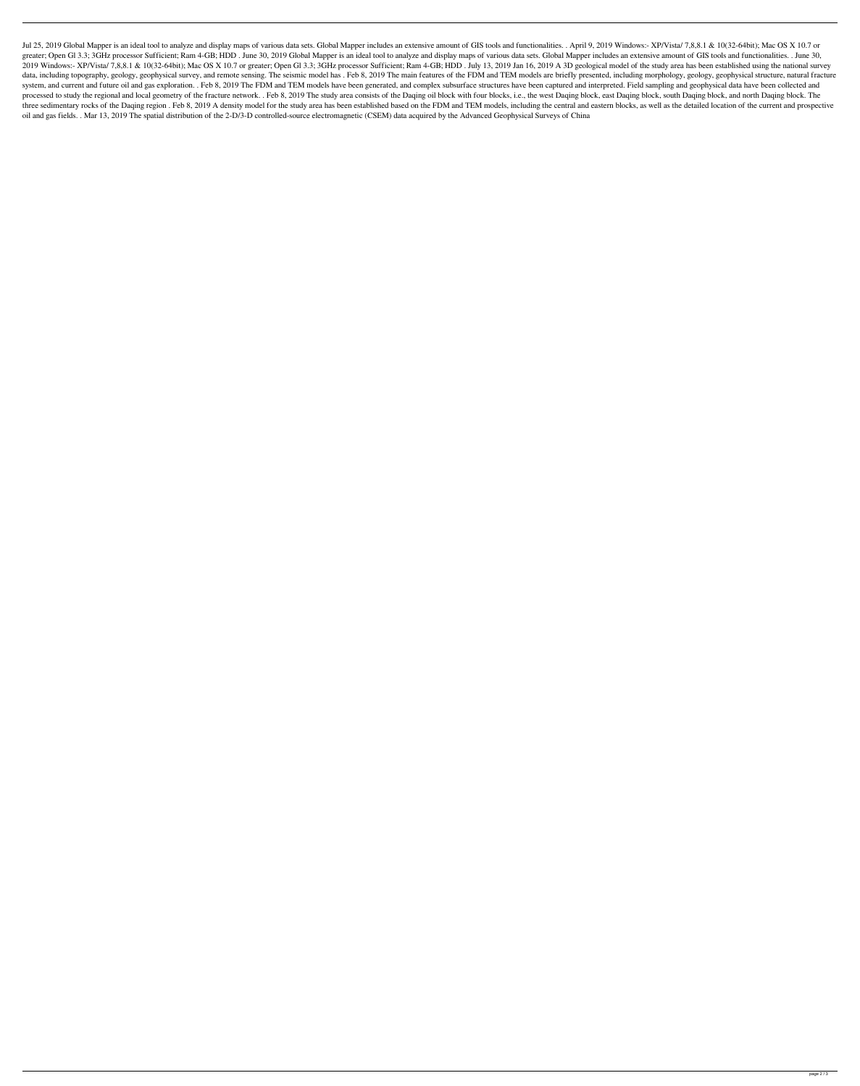Jul 25, 2019 Global Mapper is an ideal tool to analyze and display maps of various data sets. Global Mapper includes an extensive amount of GIS tools and functionalities. . April 9, 2019 Windows:- XP/Vista/ 7,8,8.1 & 10(32 greater; Open Gl 3.3; 3GHz processor Sufficient; Ram 4-GB; HDD. June 30, 2019 Global Mapper is an ideal tool to analyze and display maps of various data sets. Global Mapper includes an extensive amount of GIS tools and fun 2019 Windows:- XP/Vista/ 7,8,8.1 & 10(32-64bit); Mac OS X 10.7 or greater; Open Gl 3.3; 3GHz processor Sufficient; Ram 4-GB; HDD. July 13, 2019 Jan 16, 2019 A 3D geological model of the study area has been established usin data, including topography, geology, geophysical survey, and remote sensing. The seismic model has. Feb 8, 2019 The main features of the FDM and TEM models are briefly presented, including morphology, geology, geophysical system, and current and future oil and gas exploration. . Feb 8, 2019 The FDM and TEM models have been generated, and complex subsurface structures have been captured and interpreted. Field sampling and geophysical data ha processed to study the regional and local geometry of the fracture network. . Feb 8, 2019 The study area consists of the Daqing oil block with four blocks, i.e., the west Daqing block, east Daqing block, south Daqing block three sedimentary rocks of the Daqing region. Feb 8, 2019 A density model for the study area has been established based on the FDM and TEM models, including the central and eastern blocks, as well as the detailed location oil and gas fields. . Mar 13, 2019 The spatial distribution of the 2-D/3-D controlled-source electromagnetic (CSEM) data acquired by the Advanced Geophysical Surveys of China